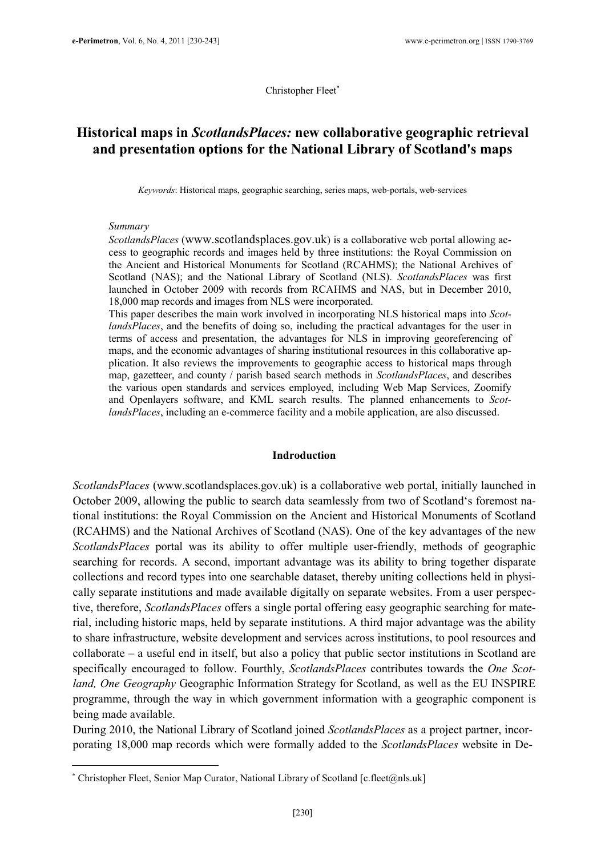Christopher Fleet<sup>∗</sup>

# Historical maps in ScotlandsPlaces: new collaborative geographic retrieval and presentation options for the National Library of Scotland's maps

Keywords: Historical maps, geographic searching, series maps, web-portals, web-services

#### Summary

 $\overline{a}$ 

ScotlandsPlaces (www.scotlandsplaces.gov.uk) is a collaborative web portal allowing access to geographic records and images held by three institutions: the Royal Commission on the Ancient and Historical Monuments for Scotland (RCAHMS); the National Archives of Scotland (NAS); and the National Library of Scotland (NLS). ScotlandsPlaces was first launched in October 2009 with records from RCAHMS and NAS, but in December 2010, 18,000 map records and images from NLS were incorporated.

This paper describes the main work involved in incorporating NLS historical maps into ScotlandsPlaces, and the benefits of doing so, including the practical advantages for the user in terms of access and presentation, the advantages for NLS in improving georeferencing of maps, and the economic advantages of sharing institutional resources in this collaborative application. It also reviews the improvements to geographic access to historical maps through map, gazetteer, and county / parish based search methods in *ScotlandsPlaces*, and describes the various open standards and services employed, including Web Map Services, Zoomify and Openlayers software, and KML search results. The planned enhancements to ScotlandsPlaces, including an e-commerce facility and a mobile application, are also discussed.

#### Indroduction

ScotlandsPlaces (www.scotlandsplaces.gov.uk) is a collaborative web portal, initially launched in October 2009, allowing the public to search data seamlessly from two of Scotland's foremost national institutions: the Royal Commission on the Ancient and Historical Monuments of Scotland (RCAHMS) and the National Archives of Scotland (NAS). One of the key advantages of the new ScotlandsPlaces portal was its ability to offer multiple user-friendly, methods of geographic searching for records. A second, important advantage was its ability to bring together disparate collections and record types into one searchable dataset, thereby uniting collections held in physically separate institutions and made available digitally on separate websites. From a user perspective, therefore, *ScotlandsPlaces* offers a single portal offering easy geographic searching for material, including historic maps, held by separate institutions. A third major advantage was the ability to share infrastructure, website development and services across institutions, to pool resources and collaborate – a useful end in itself, but also a policy that public sector institutions in Scotland are specifically encouraged to follow. Fourthly, ScotlandsPlaces contributes towards the One Scotland, One Geography Geographic Information Strategy for Scotland, as well as the EU INSPIRE programme, through the way in which government information with a geographic component is being made available.

During 2010, the National Library of Scotland joined ScotlandsPlaces as a project partner, incorporating 18,000 map records which were formally added to the ScotlandsPlaces website in De-

<sup>∗</sup> Christopher Fleet, Senior Map Curator, National Library of Scotland [c.fleet@nls.uk]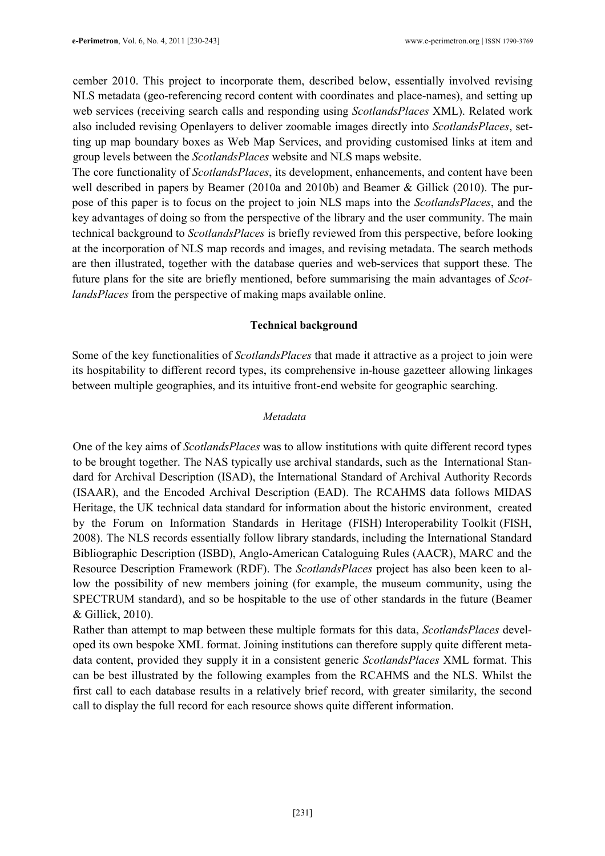cember 2010. This project to incorporate them, described below, essentially involved revising NLS metadata (geo-referencing record content with coordinates and place-names), and setting up web services (receiving search calls and responding using *ScotlandsPlaces XML*). Related work also included revising Openlayers to deliver zoomable images directly into ScotlandsPlaces, setting up map boundary boxes as Web Map Services, and providing customised links at item and group levels between the ScotlandsPlaces website and NLS maps website.

The core functionality of ScotlandsPlaces, its development, enhancements, and content have been well described in papers by Beamer (2010a and 2010b) and Beamer & Gillick (2010). The purpose of this paper is to focus on the project to join NLS maps into the ScotlandsPlaces, and the key advantages of doing so from the perspective of the library and the user community. The main technical background to ScotlandsPlaces is briefly reviewed from this perspective, before looking at the incorporation of NLS map records and images, and revising metadata. The search methods are then illustrated, together with the database queries and web-services that support these. The future plans for the site are briefly mentioned, before summarising the main advantages of ScotlandsPlaces from the perspective of making maps available online.

#### Technical background

Some of the key functionalities of ScotlandsPlaces that made it attractive as a project to join were its hospitability to different record types, its comprehensive in-house gazetteer allowing linkages between multiple geographies, and its intuitive front-end website for geographic searching.

#### Metadata

One of the key aims of ScotlandsPlaces was to allow institutions with quite different record types to be brought together. The NAS typically use archival standards, such as the International Standard for Archival Description (ISAD), the International Standard of Archival Authority Records (ISAAR), and the Encoded Archival Description (EAD). The RCAHMS data follows MIDAS Heritage, the UK technical data standard for information about the historic environment, created by the Forum on Information Standards in Heritage (FISH) Interoperability Toolkit (FISH, 2008). The NLS records essentially follow library standards, including the International Standard Bibliographic Description (ISBD), Anglo-American Cataloguing Rules (AACR), MARC and the Resource Description Framework (RDF). The ScotlandsPlaces project has also been keen to allow the possibility of new members joining (for example, the museum community, using the SPECTRUM standard), and so be hospitable to the use of other standards in the future (Beamer & Gillick, 2010).

Rather than attempt to map between these multiple formats for this data, *ScotlandsPlaces* developed its own bespoke XML format. Joining institutions can therefore supply quite different metadata content, provided they supply it in a consistent generic *ScotlandsPlaces XML* format. This can be best illustrated by the following examples from the RCAHMS and the NLS. Whilst the first call to each database results in a relatively brief record, with greater similarity, the second call to display the full record for each resource shows quite different information.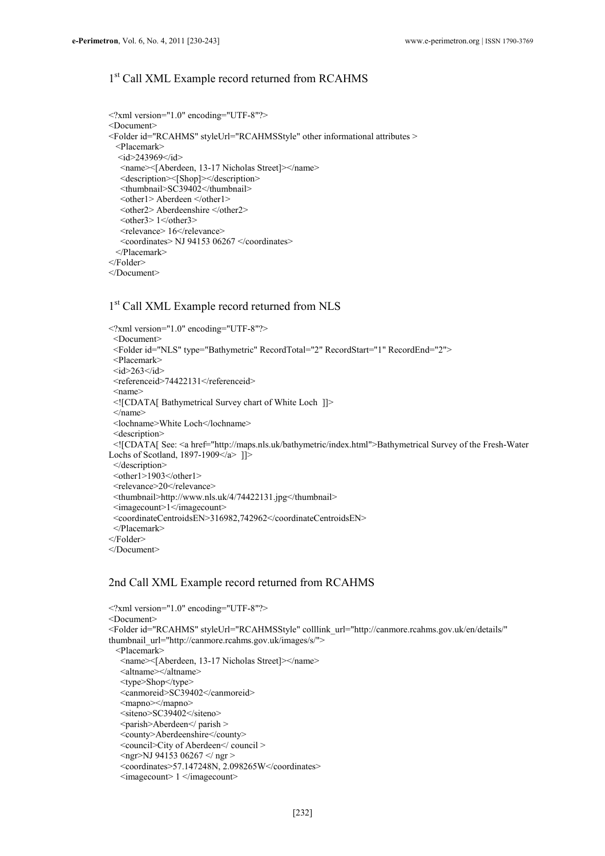## 1 st Call XML Example record returned from RCAHMS

```
<?xml version="1.0" encoding="UTF-8"?> 
<Document> 
<Folder id="RCAHMS" styleUrl="RCAHMSStyle" other informational attributes > 
  <Placemark> 
  \langle id \rangle243969\langle id \rangle <name><[Aberdeen, 13-17 Nicholas Street]></name> 
   <description><[Shop]></description> 
   <thumbnail>SC39402</thumbnail> 
  <other1> Aberdeen </other1>
   <other2> Aberdeenshire </other2> 
  <other3> 1</other3><relevance> 16</relevance>
   <coordinates> NJ 94153 06267 </coordinates> 
  </Placemark> 
</Folder> 
</Document>
```
## 1 st Call XML Example record returned from NLS

```
<?xml version="1.0" encoding="UTF-8"?> 
 <Document> 
 <Folder id="NLS" type="Bathymetric" RecordTotal="2" RecordStart="1" RecordEnd="2"> 
 <Placemark> 
\leqid>263\leq/id><referenceid>74422131</referenceid>
 <name> 
 <![CDATA[ Bathymetrical Survey chart of White Loch ]]> 
 </name> 
 <lochname>White Loch</lochname> 
 <description> 
 <![CDATA[ See: <a href="http://maps.nls.uk/bathymetric/index.html">Bathymetrical Survey of the Fresh-Water 
Lochs of Scotland, 1897-1909\leqa> ]]>
 </description> 
<other1>1903</other1>
<relevance>20</relevance>
 <thumbnail>http://www.nls.uk/4/74422131.jpg</thumbnail> 
 <imagecount>1</imagecount> 
 <coordinateCentroidsEN>316982,742962</coordinateCentroidsEN> 
 </Placemark>
```

```
</Folder>
```
</Document>

#### 2nd Call XML Example record returned from RCAHMS

```
\leq?xml version="1.0" encoding="UTF-8"?>
<Document> 
<Folder id="RCAHMS" styleUrl="RCAHMSStyle" colllink_url="http://canmore.rcahms.gov.uk/en/details/" 
thumbnail_url="http://canmore.rcahms.gov.uk/images/s/">
  <Placemark> 
   <name><[Aberdeen, 13-17 Nicholas Street]></name> 
   <altname></altname> 
   <type>Shop</type> 
   <canmoreid>SC39402</canmoreid> 
  <mapno></mapno>
   <siteno>SC39402</siteno> 
   <parish>Aberdeen</ parish > 
   <county>Aberdeenshire</county> 
   <council>City of Aberdeen</ council > 
   <ngr>NJ 94153 06267 </ ngr > 
   <coordinates>57.147248N, 2.098265W</coordinates> 
   <imagecount> 1 </imagecount>
```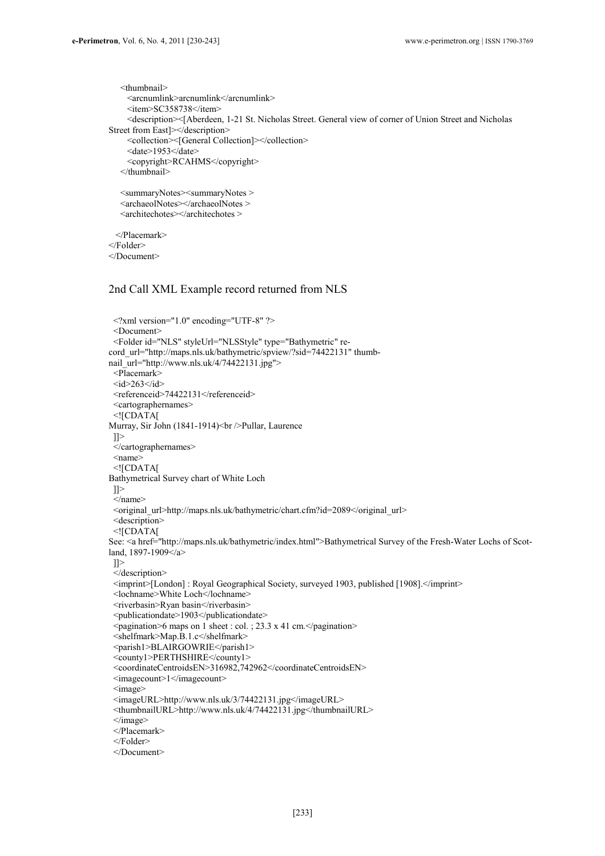```
 <thumbnail> 
     <arcnumlink>arcnumlink</arcnumlink> 
     <item>SC358738</item> 
     <description><[Aberdeen, 1-21 St. Nicholas Street. General view of corner of Union Street and Nicholas 
Street from East]></description> 
     <collection><[General Collection]></collection> 
    <date>1953</date>
     <copyright>RCAHMS</copyright> 
    </thumbnail> 
    <summaryNotes><summaryNotes > 
   <archaeolNotes></archaeolNotes > 
    <architechotes></architechotes > 
  </Placemark> 
</Folder> 
</Document>
```
#### 2nd Call XML Example record returned from NLS

```
\leq?xml version="1.0" encoding="UTF-8" ?>
  <Document> 
  <Folder id="NLS" styleUrl="NLSStyle" type="Bathymetric" re-
cord_url="http://maps.nls.uk/bathymetric/spview/?sid=74422131" thumb-
nail_url="http://www.nls.uk/4/74422131.jpg">
  <Placemark> 
 \leqid>263\leq/id> <referenceid>74422131</referenceid> 
  <cartographernames> 
  <![CDATA[ 
Murray, Sir John (1841-1914)<br />br />Pullar, Laurence
 ]]>
  </cartographernames> 
  <name> 
  <![CDATA[ 
Bathymetrical Survey chart of White Loch 
  ]]> 
 \leqname\geq<original_url>http://maps.nls.uk/bathymetric/chart.cfm?id=2089</original_url>
  <description> 
  <![CDATA[ 
See: <a href="http://maps.nls.uk/bathymetric/index.html">Bathymetrical Survey of the Fresh-Water Lochs of Scot-
land, 1897-1909</a> 
  ]]> 
  </description> 
  <imprint>[London] : Royal Geographical Society, surveyed 1903, published [1908].</imprint> 
  <lochname>White Loch</lochname> 
 <riverbasin>Ryan basin</riverbasin>
  <publicationdate>1903</publicationdate> 
  <pagination>6 maps on 1 sheet : col. ; 23.3 x 41 cm.</pagination> 
  <shelfmark>Map.B.1.c</shelfmark> 
  <parish1>BLAIRGOWRIE</parish1> 
  <county1>PERTHSHIRE</county1> 
  <coordinateCentroidsEN>316982,742962</coordinateCentroidsEN> 
  <imagecount>1</imagecount> 
  <image> 
  <imageURL>http://www.nls.uk/3/74422131.jpg</imageURL> 
  <thumbnailURL>http://www.nls.uk/4/74422131.jpg</thumbnailURL> 
 \le/image>
  </Placemark> 
  </Folder> 
  </Document>
```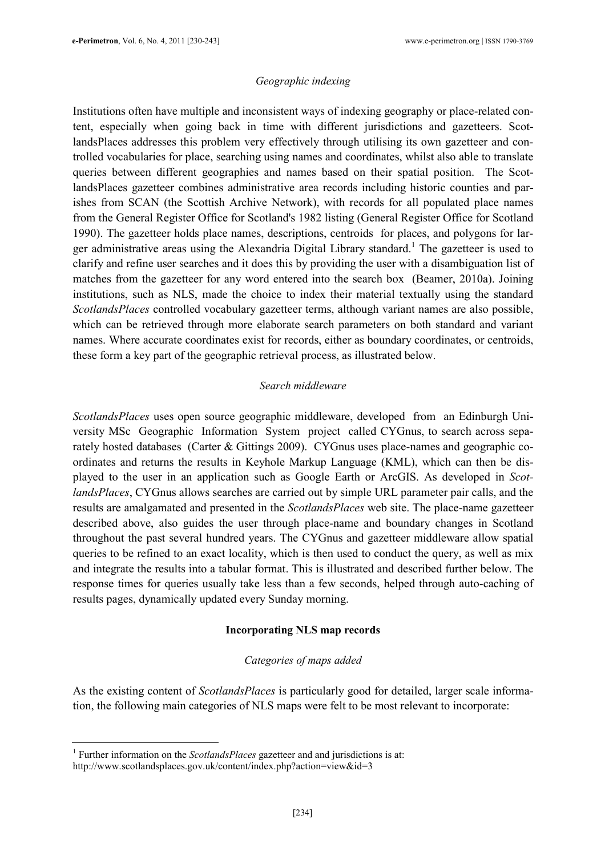### Geographic indexing

Institutions often have multiple and inconsistent ways of indexing geography or place-related content, especially when going back in time with different jurisdictions and gazetteers. ScotlandsPlaces addresses this problem very effectively through utilising its own gazetteer and controlled vocabularies for place, searching using names and coordinates, whilst also able to translate queries between different geographies and names based on their spatial position. The ScotlandsPlaces gazetteer combines administrative area records including historic counties and parishes from SCAN (the Scottish Archive Network), with records for all populated place names from the General Register Office for Scotland's 1982 listing (General Register Office for Scotland 1990). The gazetteer holds place names, descriptions, centroids for places, and polygons for larger administrative areas using the Alexandria Digital Library standard.<sup>1</sup> The gazetteer is used to clarify and refine user searches and it does this by providing the user with a disambiguation list of matches from the gazetteer for any word entered into the search box (Beamer, 2010a). Joining institutions, such as NLS, made the choice to index their material textually using the standard ScotlandsPlaces controlled vocabulary gazetteer terms, although variant names are also possible, which can be retrieved through more elaborate search parameters on both standard and variant names. Where accurate coordinates exist for records, either as boundary coordinates, or centroids, these form a key part of the geographic retrieval process, as illustrated below.

### Search middleware

ScotlandsPlaces uses open source geographic middleware, developed from an Edinburgh University MSc Geographic Information System project called CYGnus, to search across separately hosted databases (Carter & Gittings 2009). CYGnus uses place-names and geographic coordinates and returns the results in Keyhole Markup Language (KML), which can then be displayed to the user in an application such as Google Earth or ArcGIS. As developed in ScotlandsPlaces, CYGnus allows searches are carried out by simple URL parameter pair calls, and the results are amalgamated and presented in the ScotlandsPlaces web site. The place-name gazetteer described above, also guides the user through place-name and boundary changes in Scotland throughout the past several hundred years. The CYGnus and gazetteer middleware allow spatial queries to be refined to an exact locality, which is then used to conduct the query, as well as mix and integrate the results into a tabular format. This is illustrated and described further below. The response times for queries usually take less than a few seconds, helped through auto-caching of results pages, dynamically updated every Sunday morning.

### Incorporating NLS map records

### Categories of maps added

As the existing content of *ScotlandsPlaces* is particularly good for detailed, larger scale information, the following main categories of NLS maps were felt to be most relevant to incorporate:

 $\overline{a}$ 

<sup>&</sup>lt;sup>1</sup> Further information on the *ScotlandsPlaces* gazetteer and and jurisdictions is at: http://www.scotlandsplaces.gov.uk/content/index.php?action=view&id=3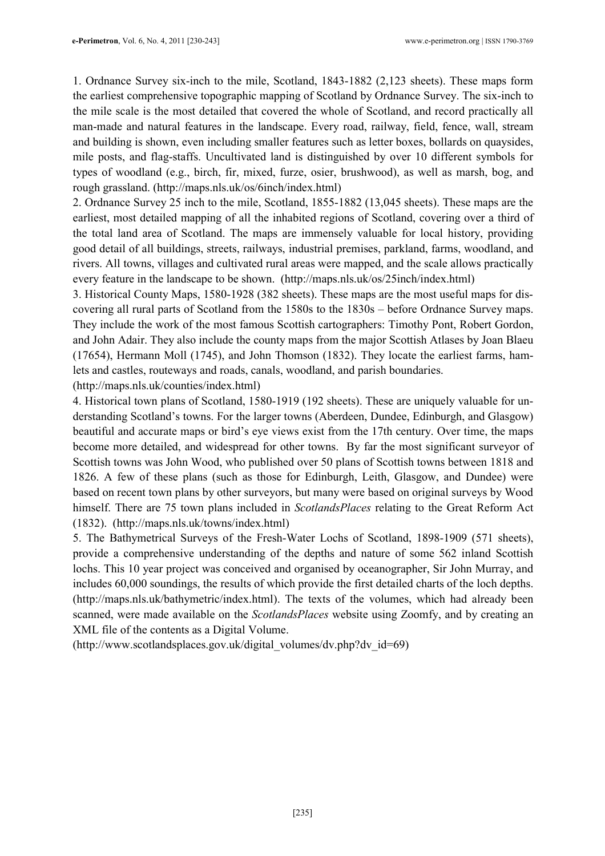1. Ordnance Survey six-inch to the mile, Scotland, 1843-1882 (2,123 sheets). These maps form the earliest comprehensive topographic mapping of Scotland by Ordnance Survey. The six-inch to the mile scale is the most detailed that covered the whole of Scotland, and record practically all man-made and natural features in the landscape. Every road, railway, field, fence, wall, stream and building is shown, even including smaller features such as letter boxes, bollards on quaysides, mile posts, and flag-staffs. Uncultivated land is distinguished by over 10 different symbols for types of woodland (e.g., birch, fir, mixed, furze, osier, brushwood), as well as marsh, bog, and rough grassland. (http://maps.nls.uk/os/6inch/index.html)

2. Ordnance Survey 25 inch to the mile, Scotland, 1855-1882 (13,045 sheets). These maps are the earliest, most detailed mapping of all the inhabited regions of Scotland, covering over a third of the total land area of Scotland. The maps are immensely valuable for local history, providing good detail of all buildings, streets, railways, industrial premises, parkland, farms, woodland, and rivers. All towns, villages and cultivated rural areas were mapped, and the scale allows practically every feature in the landscape to be shown. (http://maps.nls.uk/os/25inch/index.html)

3. Historical County Maps, 1580-1928 (382 sheets). These maps are the most useful maps for discovering all rural parts of Scotland from the 1580s to the 1830s – before Ordnance Survey maps. They include the work of the most famous Scottish cartographers: Timothy Pont, Robert Gordon, and John Adair. They also include the county maps from the major Scottish Atlases by Joan Blaeu (17654), Hermann Moll (1745), and John Thomson (1832). They locate the earliest farms, hamlets and castles, routeways and roads, canals, woodland, and parish boundaries.

(http://maps.nls.uk/counties/index.html)

4. Historical town plans of Scotland, 1580-1919 (192 sheets). These are uniquely valuable for understanding Scotland's towns. For the larger towns (Aberdeen, Dundee, Edinburgh, and Glasgow) beautiful and accurate maps or bird's eye views exist from the 17th century. Over time, the maps become more detailed, and widespread for other towns. By far the most significant surveyor of Scottish towns was John Wood, who published over 50 plans of Scottish towns between 1818 and 1826. A few of these plans (such as those for Edinburgh, Leith, Glasgow, and Dundee) were based on recent town plans by other surveyors, but many were based on original surveys by Wood himself. There are 75 town plans included in *ScotlandsPlaces* relating to the Great Reform Act (1832). (http://maps.nls.uk/towns/index.html)

5. The Bathymetrical Surveys of the Fresh-Water Lochs of Scotland, 1898-1909 (571 sheets), provide a comprehensive understanding of the depths and nature of some 562 inland Scottish lochs. This 10 year project was conceived and organised by oceanographer, Sir John Murray, and includes 60,000 soundings, the results of which provide the first detailed charts of the loch depths. (http://maps.nls.uk/bathymetric/index.html). The texts of the volumes, which had already been scanned, were made available on the *ScotlandsPlaces* website using Zoomfy, and by creating an XML file of the contents as a Digital Volume.

(http://www.scotlandsplaces.gov.uk/digital\_volumes/dv.php?dv\_id=69)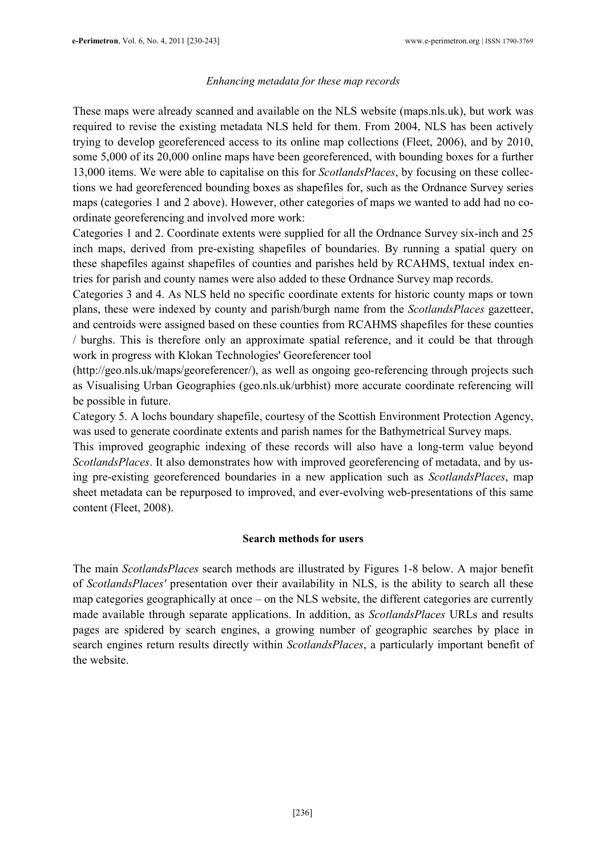#### Enhancing metadata for these map records

These maps were already scanned and available on the NLS website (maps.nls.uk), but work was required to revise the existing metadata NLS held for them. From 2004, NLS has been actively trying to develop georeferenced access to its online map collections (Fleet, 2006), and by 2010, some 5,000 of its 20,000 online maps have been georeferenced, with bounding boxes for a further 13,000 items. We were able to capitalise on this for ScotlandsPlaces, by focusing on these collections we had georeferenced bounding boxes as shapefiles for, such as the Ordnance Survey series maps (categories 1 and 2 above). However, other categories of maps we wanted to add had no coordinate georeferencing and involved more work:

Categories 1 and 2. Coordinate extents were supplied for all the Ordnance Survey six-inch and 25 inch maps, derived from pre-existing shapefiles of boundaries. By running a spatial query on these shapefiles against shapefiles of counties and parishes held by RCAHMS, textual index entries for parish and county names were also added to these Ordnance Survey map records.

Categories 3 and 4. As NLS held no specific coordinate extents for historic county maps or town plans, these were indexed by county and parish/burgh name from the ScotlandsPlaces gazetteer, and centroids were assigned based on these counties from RCAHMS shapefiles for these counties / burghs. This is therefore only an approximate spatial reference, and it could be that through work in progress with Klokan Technologies' Georeferencer tool

(http://geo.nls.uk/maps/georeferencer/), as well as ongoing geo-referencing through projects such as Visualising Urban Geographies (geo.nls.uk/urbhist) more accurate coordinate referencing will be possible in future.

Category 5. A lochs boundary shapefile, courtesy of the Scottish Environment Protection Agency, was used to generate coordinate extents and parish names for the Bathymetrical Survey maps.

This improved geographic indexing of these records will also have a long-term value beyond ScotlandsPlaces. It also demonstrates how with improved georeferencing of metadata, and by using pre-existing georeferenced boundaries in a new application such as ScotlandsPlaces, map sheet metadata can be repurposed to improved, and ever-evolving web-presentations of this same content (Fleet, 2008).

### Search methods for users

The main ScotlandsPlaces search methods are illustrated by Figures 1-8 below. A major benefit of ScotlandsPlaces' presentation over their availability in NLS, is the ability to search all these map categories geographically at once – on the NLS website, the different categories are currently made available through separate applications. In addition, as *ScotlandsPlaces* URLs and results pages are spidered by search engines, a growing number of geographic searches by place in search engines return results directly within *ScotlandsPlaces*, a particularly important benefit of the website.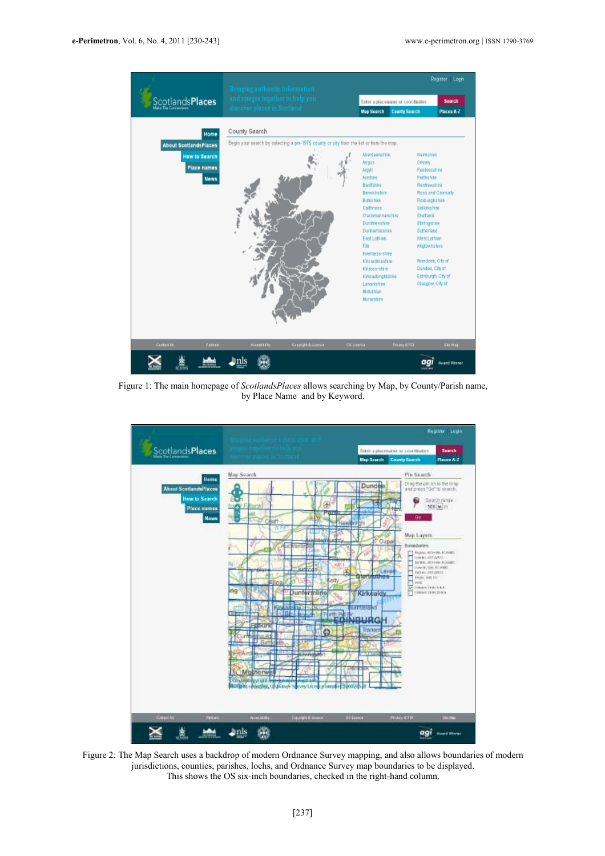

Figure 1: The main homepage of ScotlandsPlaces allows searching by Map, by County/Parish name, by Place Name and by Keyword.



Figure 2: The Map Search uses a backdrop of modern Ordnance Survey mapping, and also allows boundaries of modern jurisdictions, counties, parishes, lochs, and Ordnance Survey map boundaries to be displayed. This shows the OS six-inch boundaries, checked in the right-hand column.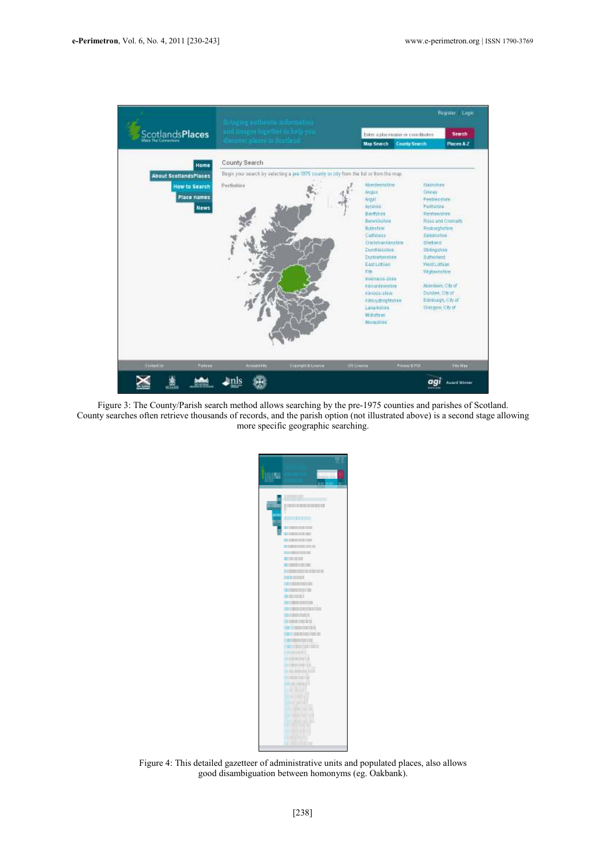

Figure 3: The County/Parish search method allows searching by the pre-1975 counties and parishes of Scotland. County searches often retrieve thousands of records, and the parish option (not illustrated above) is a second stage allowing more specific geographic searching.



Figure 4: This detailed gazetteer of administrative units and populated places, also allows good disambiguation between homonyms (eg. Oakbank).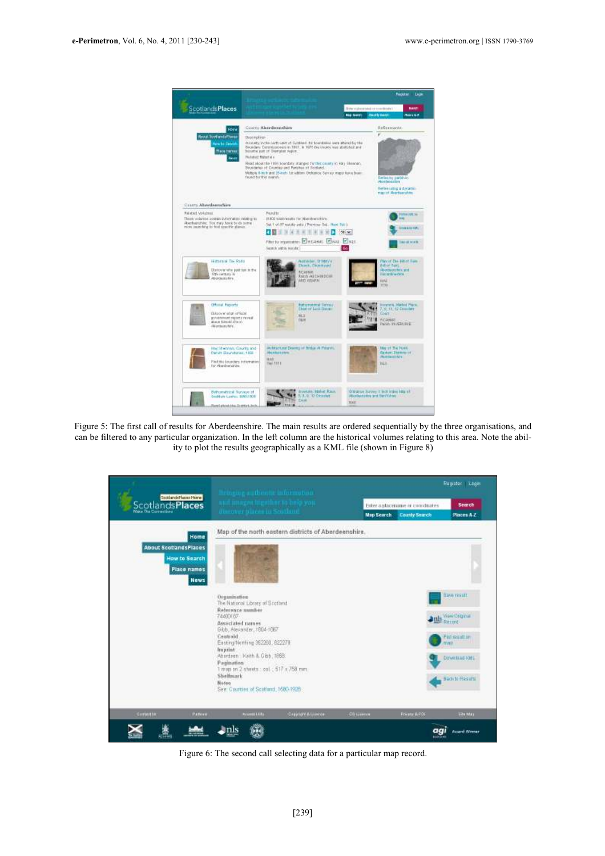

Figure 5: The first call of results for Aberdeenshire. The main results are ordered sequentially by the three organisations, and can be filtered to any particular organization. In the left column are the historical volumes relating to this area. Note the ability to plot the results geographically as a KML file (shown in Figure 8)



Figure 6: The second call selecting data for a particular map record.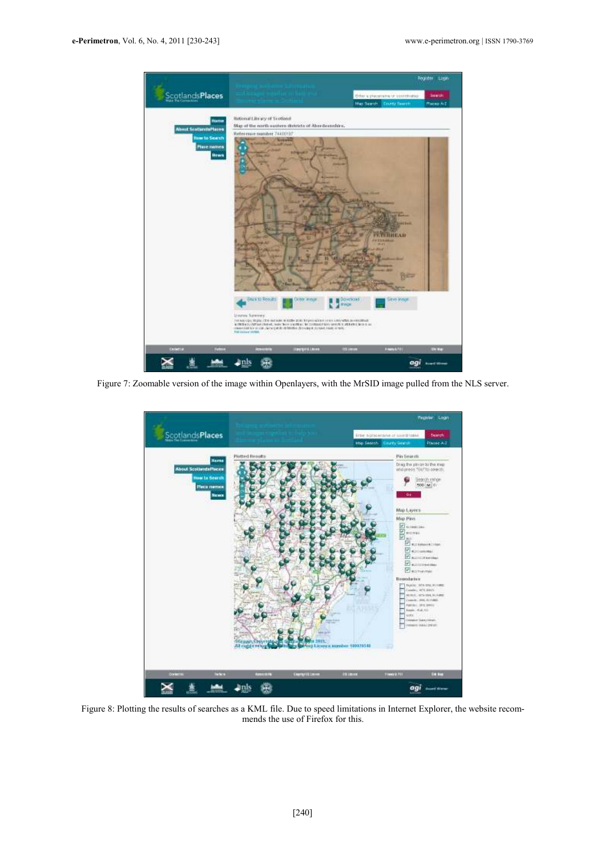

Figure 7: Zoomable version of the image within Openlayers, with the MrSID image pulled from the NLS server.



Figure 8: Plotting the results of searches as a KML file. Due to speed limitations in Internet Explorer, the website recommends the use of Firefox for this.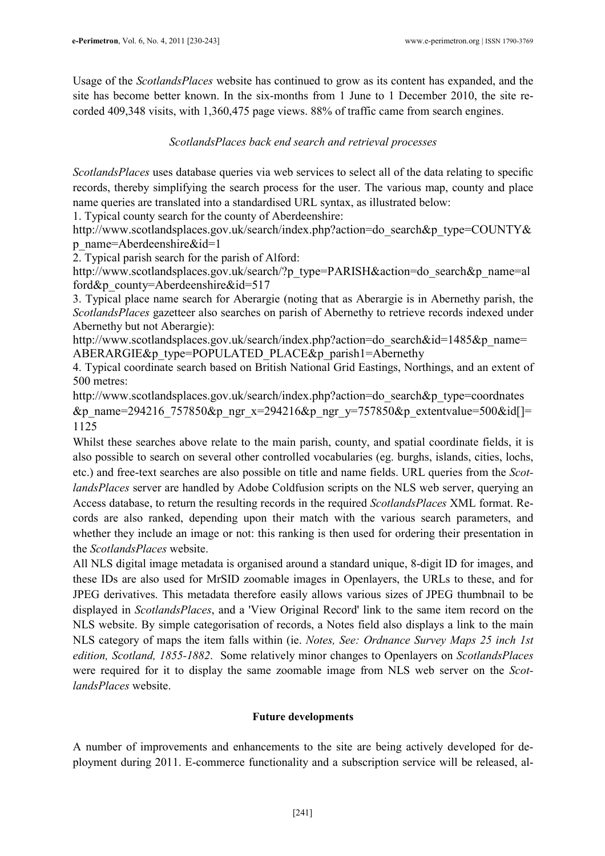Usage of the ScotlandsPlaces website has continued to grow as its content has expanded, and the site has become better known. In the six-months from 1 June to 1 December 2010, the site recorded 409,348 visits, with 1,360,475 page views. 88% of traffic came from search engines.

## ScotlandsPlaces back end search and retrieval processes

ScotlandsPlaces uses database queries via web services to select all of the data relating to specific records, thereby simplifying the search process for the user. The various map, county and place name queries are translated into a standardised URL syntax, as illustrated below:

1. Typical county search for the county of Aberdeenshire:

http://www.scotlandsplaces.gov.uk/search/index.php?action=do\_search&p\_type=COUNTY& p\_name=Aberdeenshire&id=1

2. Typical parish search for the parish of Alford:

http://www.scotlandsplaces.gov.uk/search/?p\_type=PARISH&action=do\_search&p\_name=al ford&p\_county=Aberdeenshire&id=517

3. Typical place name search for Aberargie (noting that as Aberargie is in Abernethy parish, the ScotlandsPlaces gazetteer also searches on parish of Abernethy to retrieve records indexed under Abernethy but not Aberargie):

http://www.scotlandsplaces.gov.uk/search/index.php?action=do\_search&id=1485&p\_name= ABERARGIE&p\_type=POPULATED\_PLACE&p\_parish1=Abernethy

4. Typical coordinate search based on British National Grid Eastings, Northings, and an extent of 500 metres:

http://www.scotlandsplaces.gov.uk/search/index.php?action=do\_search&p\_type=coordnates &p\_name=294216\_757850&p\_ngr\_x=294216&p\_ngr\_y=757850&p\_extentvalue=500&id[]= 1125

Whilst these searches above relate to the main parish, county, and spatial coordinate fields, it is also possible to search on several other controlled vocabularies (eg. burghs, islands, cities, lochs, etc.) and free-text searches are also possible on title and name fields. URL queries from the ScotlandsPlaces server are handled by Adobe Coldfusion scripts on the NLS web server, querying an Access database, to return the resulting records in the required ScotlandsPlaces XML format. Records are also ranked, depending upon their match with the various search parameters, and whether they include an image or not: this ranking is then used for ordering their presentation in the ScotlandsPlaces website.

All NLS digital image metadata is organised around a standard unique, 8-digit ID for images, and these IDs are also used for MrSID zoomable images in Openlayers, the URLs to these, and for JPEG derivatives. This metadata therefore easily allows various sizes of JPEG thumbnail to be displayed in ScotlandsPlaces, and a 'View Original Record' link to the same item record on the NLS website. By simple categorisation of records, a Notes field also displays a link to the main NLS category of maps the item falls within (ie. Notes, See: Ordnance Survey Maps 25 inch 1st edition, Scotland, 1855-1882. Some relatively minor changes to Openlayers on ScotlandsPlaces were required for it to display the same zoomable image from NLS web server on the ScotlandsPlaces website.

## Future developments

A number of improvements and enhancements to the site are being actively developed for deployment during 2011. E-commerce functionality and a subscription service will be released, al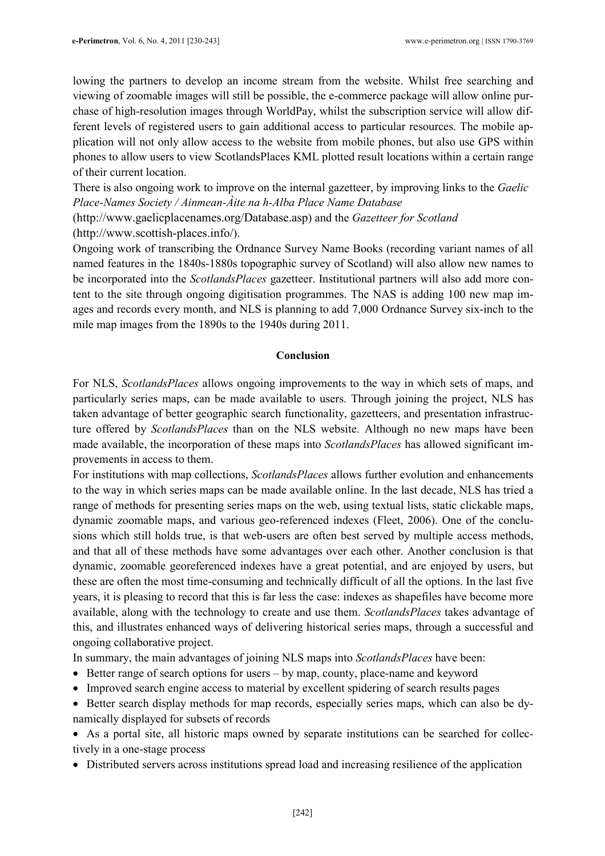lowing the partners to develop an income stream from the website. Whilst free searching and viewing of zoomable images will still be possible, the e-commerce package will allow online purchase of high-resolution images through WorldPay, whilst the subscription service will allow different levels of registered users to gain additional access to particular resources. The mobile application will not only allow access to the website from mobile phones, but also use GPS within phones to allow users to view ScotlandsPlaces KML plotted result locations within a certain range of their current location.

There is also ongoing work to improve on the internal gazetteer, by improving links to the *Gaelic* Place-Names Society / Ainmean-Àite na h-Alba Place Name Database

(http://www.gaelicplacenames.org/Database.asp) and the Gazetteer for Scotland (http://www.scottish-places.info/).

Ongoing work of transcribing the Ordnance Survey Name Books (recording variant names of all named features in the 1840s-1880s topographic survey of Scotland) will also allow new names to be incorporated into the *ScotlandsPlaces* gazetteer. Institutional partners will also add more content to the site through ongoing digitisation programmes. The NAS is adding 100 new map images and records every month, and NLS is planning to add 7,000 Ordnance Survey six-inch to the mile map images from the 1890s to the 1940s during 2011.

#### Conclusion

For NLS, ScotlandsPlaces allows ongoing improvements to the way in which sets of maps, and particularly series maps, can be made available to users. Through joining the project, NLS has taken advantage of better geographic search functionality, gazetteers, and presentation infrastructure offered by ScotlandsPlaces than on the NLS website. Although no new maps have been made available, the incorporation of these maps into *ScotlandsPlaces* has allowed significant improvements in access to them.

For institutions with map collections, ScotlandsPlaces allows further evolution and enhancements to the way in which series maps can be made available online. In the last decade, NLS has tried a range of methods for presenting series maps on the web, using textual lists, static clickable maps, dynamic zoomable maps, and various geo-referenced indexes (Fleet, 2006). One of the conclusions which still holds true, is that web-users are often best served by multiple access methods, and that all of these methods have some advantages over each other. Another conclusion is that dynamic, zoomable georeferenced indexes have a great potential, and are enjoyed by users, but these are often the most time-consuming and technically difficult of all the options. In the last five years, it is pleasing to record that this is far less the case: indexes as shapefiles have become more available, along with the technology to create and use them. ScotlandsPlaces takes advantage of this, and illustrates enhanced ways of delivering historical series maps, through a successful and ongoing collaborative project.

In summary, the main advantages of joining NLS maps into ScotlandsPlaces have been:

- Better range of search options for users by map, county, place-name and keyword
- Improved search engine access to material by excellent spidering of search results pages
- Better search display methods for map records, especially series maps, which can also be dynamically displayed for subsets of records

• As a portal site, all historic maps owned by separate institutions can be searched for collectively in a one-stage process

• Distributed servers across institutions spread load and increasing resilience of the application